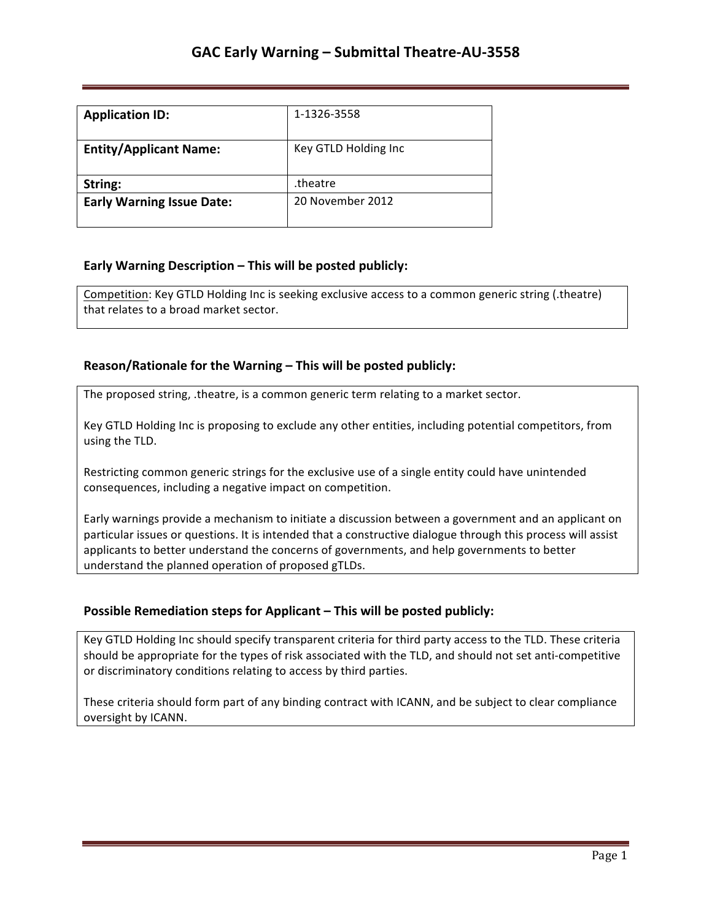| <b>Application ID:</b>           | 1-1326-3558          |
|----------------------------------|----------------------|
| <b>Entity/Applicant Name:</b>    | Key GTLD Holding Inc |
| String:                          | theatre.             |
| <b>Early Warning Issue Date:</b> | 20 November 2012     |

### **Early Warning Description – This will be posted publicly:**

Competition: Key GTLD Holding Inc is seeking exclusive access to a common generic string (.theatre) that relates to a broad market sector.

### **Reason/Rationale for the Warning – This will be posted publicly:**

The proposed string, .theatre, is a common generic term relating to a market sector.

Key GTLD Holding Inc is proposing to exclude any other entities, including potential competitors, from using the TLD.

Restricting common generic strings for the exclusive use of a single entity could have unintended consequences, including a negative impact on competition.

Early warnings provide a mechanism to initiate a discussion between a government and an applicant on particular issues or questions. It is intended that a constructive dialogue through this process will assist applicants to better understand the concerns of governments, and help governments to better understand the planned operation of proposed gTLDs.

## **Possible Remediation steps for Applicant - This will be posted publicly:**

Key GTLD Holding Inc should specify transparent criteria for third party access to the TLD. These criteria should be appropriate for the types of risk associated with the TLD, and should not set anti-competitive or discriminatory conditions relating to access by third parties.

These criteria should form part of any binding contract with ICANN, and be subject to clear compliance oversight by ICANN.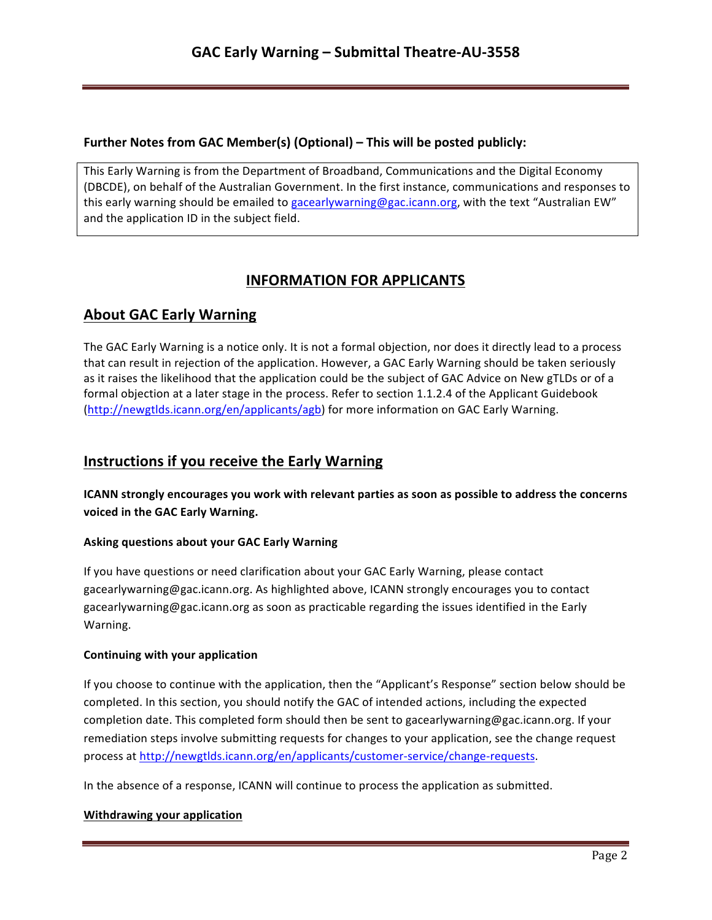## **Further Notes from GAC Member(s) (Optional) – This will be posted publicly:**

This Early Warning is from the Department of Broadband, Communications and the Digital Economy (DBCDE), on behalf of the Australian Government. In the first instance, communications and responses to this early warning should be emailed to gacearlywarning@gac.icann.org, with the text "Australian EW" and the application ID in the subject field.

# **INFORMATION FOR APPLICANTS**

# **About GAC Early Warning**

The GAC Early Warning is a notice only. It is not a formal objection, nor does it directly lead to a process that can result in rejection of the application. However, a GAC Early Warning should be taken seriously as it raises the likelihood that the application could be the subject of GAC Advice on New gTLDs or of a formal objection at a later stage in the process. Refer to section 1.1.2.4 of the Applicant Guidebook (http://newgtlds.icann.org/en/applicants/agb) for more information on GAC Early Warning.

## **Instructions if you receive the Early Warning**

**ICANN** strongly encourages you work with relevant parties as soon as possible to address the concerns voiced in the GAC Early Warning.

### **Asking questions about your GAC Early Warning**

If you have questions or need clarification about your GAC Early Warning, please contact gacearlywarning@gac.icann.org. As highlighted above, ICANN strongly encourages you to contact gacearlywarning@gac.icann.org as soon as practicable regarding the issues identified in the Early Warning. 

### **Continuing with your application**

If you choose to continue with the application, then the "Applicant's Response" section below should be completed. In this section, you should notify the GAC of intended actions, including the expected completion date. This completed form should then be sent to gacearlywarning@gac.icann.org. If your remediation steps involve submitting requests for changes to your application, see the change request process at http://newgtlds.icann.org/en/applicants/customer-service/change-requests.

In the absence of a response, ICANN will continue to process the application as submitted.

### **Withdrawing your application**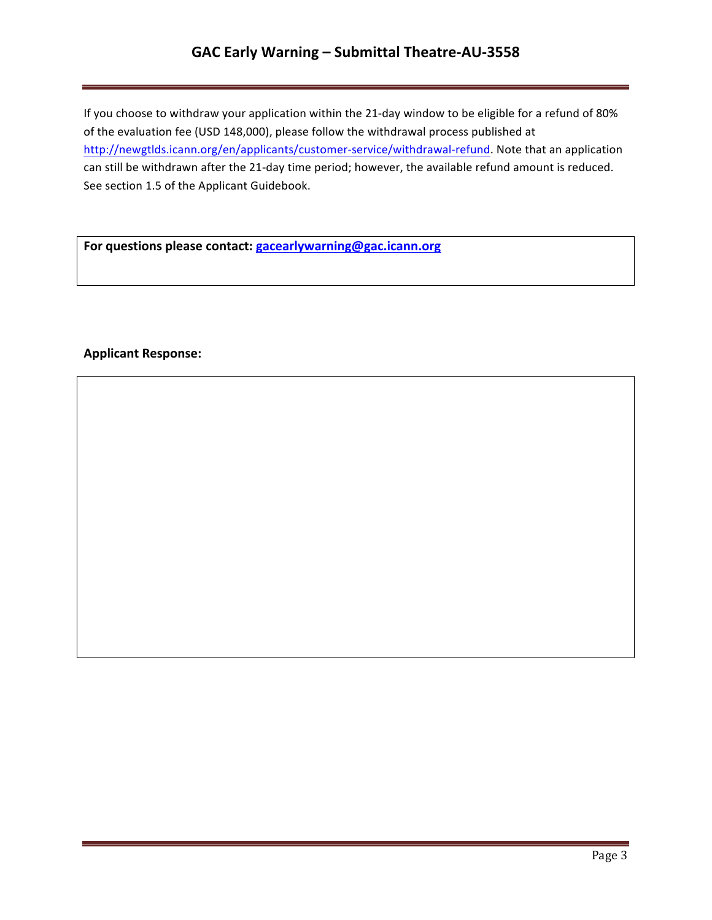## **GAC Early Warning – Submittal Theatre-AU-3558**

If you choose to withdraw your application within the 21-day window to be eligible for a refund of 80% of the evaluation fee (USD 148,000), please follow the withdrawal process published at http://newgtlds.icann.org/en/applicants/customer-service/withdrawal-refund. Note that an application can still be withdrawn after the 21-day time period; however, the available refund amount is reduced. See section 1.5 of the Applicant Guidebook.

For questions please contact: **gacearlywarning@gac.icann.org** 

### **Applicant Response:**